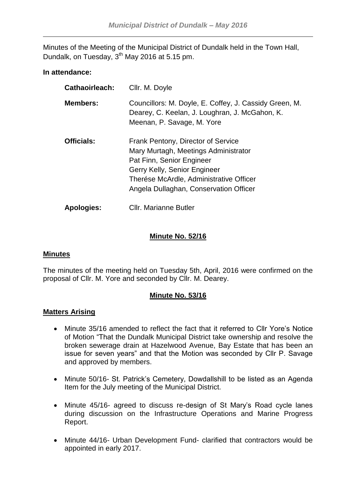Minutes of the Meeting of the Municipal District of Dundalk held in the Town Hall, Dundalk, on Tuesday, 3<sup>th</sup> May 2016 at 5.15 pm.

## **In attendance:**

| Cathaoirleach:    | Cllr. M. Doyle                                                                                                                                                                                                               |
|-------------------|------------------------------------------------------------------------------------------------------------------------------------------------------------------------------------------------------------------------------|
| <b>Members:</b>   | Councillors: M. Doyle, E. Coffey, J. Cassidy Green, M.<br>Dearey, C. Keelan, J. Loughran, J. McGahon, K.<br>Meenan, P. Savage, M. Yore                                                                                       |
| <b>Officials:</b> | Frank Pentony, Director of Service<br>Mary Murtagh, Meetings Administrator<br>Pat Finn, Senior Engineer<br>Gerry Kelly, Senior Engineer<br>Therése McArdle, Administrative Officer<br>Angela Dullaghan, Conservation Officer |
| <b>Apologies:</b> | Cllr. Marianne Butler                                                                                                                                                                                                        |

# **Minute No. 52/16**

## **Minutes**

The minutes of the meeting held on Tuesday 5th, April, 2016 were confirmed on the proposal of Cllr. M. Yore and seconded by Cllr. M. Dearey.

## **Minute No. 53/16**

## **Matters Arising**

- Minute 35/16 amended to reflect the fact that it referred to Cllr Yore's Notice of Motion "That the Dundalk Municipal District take ownership and resolve the broken sewerage drain at Hazelwood Avenue, Bay Estate that has been an issue for seven years" and that the Motion was seconded by Cllr P. Savage and approved by members.
- Minute 50/16- St. Patrick's Cemetery, Dowdallshill to be listed as an Agenda Item for the July meeting of the Municipal District.
- Minute 45/16- agreed to discuss re-design of St Mary's Road cycle lanes during discussion on the Infrastructure Operations and Marine Progress Report.
- Minute 44/16- Urban Development Fund- clarified that contractors would be appointed in early 2017.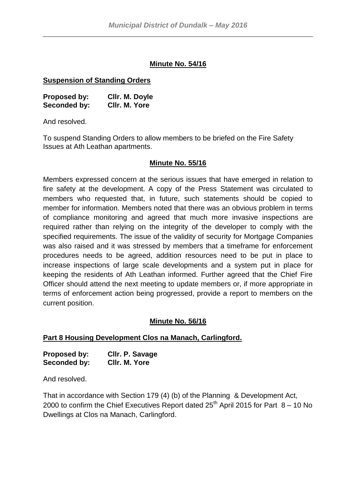## **Minute No. 54/16**

## **Suspension of Standing Orders**

| <b>Proposed by:</b> | Cllr. M. Doyle |
|---------------------|----------------|
| Seconded by:        | CIIr. M. Yore  |

And resolved.

To suspend Standing Orders to allow members to be briefed on the Fire Safety Issues at Ath Leathan apartments.

## **Minute No. 55/16**

Members expressed concern at the serious issues that have emerged in relation to fire safety at the development. A copy of the Press Statement was circulated to members who requested that, in future, such statements should be copied to member for information. Members noted that there was an obvious problem in terms of compliance monitoring and agreed that much more invasive inspections are required rather than relying on the integrity of the developer to comply with the specified requirements. The issue of the validity of security for Mortgage Companies was also raised and it was stressed by members that a timeframe for enforcement procedures needs to be agreed, addition resources need to be put in place to increase inspections of large scale developments and a system put in place for keeping the residents of Ath Leathan informed. Further agreed that the Chief Fire Officer should attend the next meeting to update members or, if more appropriate in terms of enforcement action being progressed, provide a report to members on the current position.

## **Minute No. 56/16**

## **Part 8 Housing Development Clos na Manach, Carlingford.**

| <b>Proposed by:</b> | Cllr. P. Savage |
|---------------------|-----------------|
| Seconded by:        | CIIr. M. Yore   |

And resolved.

That in accordance with Section 179 (4) (b) of the Planning & Development Act, 2000 to confirm the Chief Executives Report dated  $25<sup>th</sup>$  April 2015 for Part  $8 - 10$  No Dwellings at Clos na Manach, Carlingford.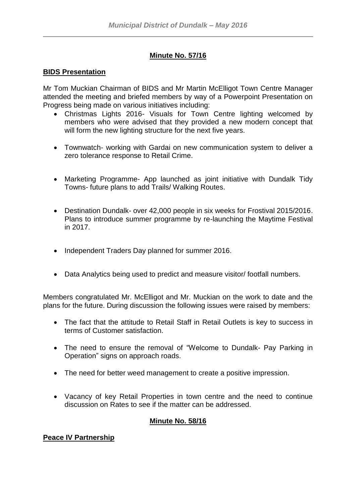# **Minute No. 57/16**

## **BIDS Presentation**

Mr Tom Muckian Chairman of BIDS and Mr Martin McElligot Town Centre Manager attended the meeting and briefed members by way of a Powerpoint Presentation on Progress being made on various initiatives including:

- Christmas Lights 2016- Visuals for Town Centre lighting welcomed by members who were advised that they provided a new modern concept that will form the new lighting structure for the next five years.
- Townwatch- working with Gardai on new communication system to deliver a zero tolerance response to Retail Crime.
- Marketing Programme- App launched as joint initiative with Dundalk Tidy Towns- future plans to add Trails/ Walking Routes.
- Destination Dundalk- over 42,000 people in six weeks for Frostival 2015/2016. Plans to introduce summer programme by re-launching the Maytime Festival in 2017.
- Independent Traders Day planned for summer 2016.
- Data Analytics being used to predict and measure visitor/ footfall numbers.

Members congratulated Mr. McElligot and Mr. Muckian on the work to date and the plans for the future. During discussion the following issues were raised by members:

- The fact that the attitude to Retail Staff in Retail Outlets is key to success in terms of Customer satisfaction.
- The need to ensure the removal of "Welcome to Dundalk- Pay Parking in Operation" signs on approach roads.
- The need for better weed management to create a positive impression.
- Vacancy of key Retail Properties in town centre and the need to continue discussion on Rates to see if the matter can be addressed.

## **Minute No. 58/16**

# **Peace IV Partnership**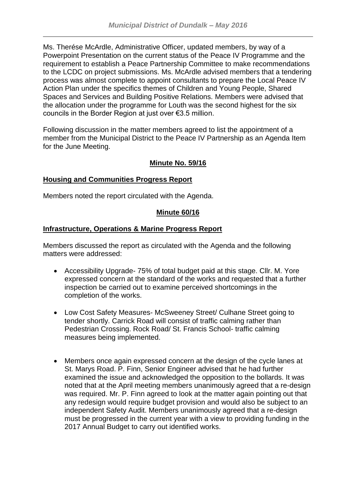Ms. Therése McArdle, Administrative Officer, updated members, by way of a Powerpoint Presentation on the current status of the Peace IV Programme and the requirement to establish a Peace Partnership Committee to make recommendations to the LCDC on project submissions. Ms. McArdle advised members that a tendering process was almost complete to appoint consultants to prepare the Local Peace IV Action Plan under the specifics themes of Children and Young People, Shared Spaces and Services and Building Positive Relations. Members were advised that the allocation under the programme for Louth was the second highest for the six councils in the Border Region at just over €3.5 million.

Following discussion in the matter members agreed to list the appointment of a member from the Municipal District to the Peace IV Partnership as an Agenda Item for the June Meeting.

# **Minute No. 59/16**

## **Housing and Communities Progress Report**

Members noted the report circulated with the Agenda.

# **Minute 60/16**

## **Infrastructure, Operations & Marine Progress Report**

Members discussed the report as circulated with the Agenda and the following matters were addressed:

- Accessibility Upgrade- 75% of total budget paid at this stage. Cllr. M. Yore expressed concern at the standard of the works and requested that a further inspection be carried out to examine perceived shortcomings in the completion of the works.
- Low Cost Safety Measures- McSweeney Street/ Culhane Street going to tender shortly. Carrick Road will consist of traffic calming rather than Pedestrian Crossing. Rock Road/ St. Francis School- traffic calming measures being implemented.
- Members once again expressed concern at the design of the cycle lanes at St. Marys Road. P. Finn, Senior Engineer advised that he had further examined the issue and acknowledged the opposition to the bollards. It was noted that at the April meeting members unanimously agreed that a re-design was required. Mr. P. Finn agreed to look at the matter again pointing out that any redesign would require budget provision and would also be subject to an independent Safety Audit. Members unanimously agreed that a re-design must be progressed in the current year with a view to providing funding in the 2017 Annual Budget to carry out identified works.